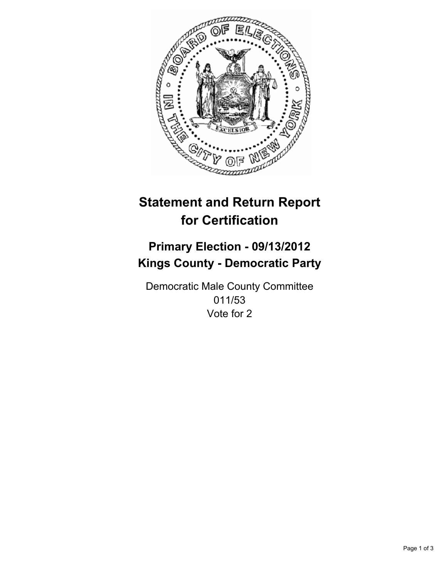

# **Statement and Return Report for Certification**

# **Primary Election - 09/13/2012 Kings County - Democratic Party**

Democratic Male County Committee 011/53 Vote for 2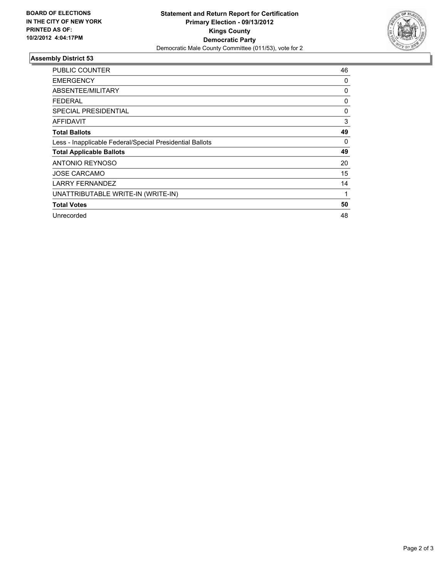

## **Assembly District 53**

| <b>PUBLIC COUNTER</b>                                    | 46 |
|----------------------------------------------------------|----|
| <b>EMERGENCY</b>                                         | 0  |
| ABSENTEE/MILITARY                                        | 0  |
| <b>FEDERAL</b>                                           | 0  |
| <b>SPECIAL PRESIDENTIAL</b>                              | 0  |
| AFFIDAVIT                                                | 3  |
| <b>Total Ballots</b>                                     | 49 |
| Less - Inapplicable Federal/Special Presidential Ballots | 0  |
| <b>Total Applicable Ballots</b>                          | 49 |
| <b>ANTONIO REYNOSO</b>                                   | 20 |
| <b>JOSE CARCAMO</b>                                      | 15 |
| <b>LARRY FERNANDEZ</b>                                   | 14 |
| UNATTRIBUTABLE WRITE-IN (WRITE-IN)                       | 1  |
| <b>Total Votes</b>                                       | 50 |
| Unrecorded                                               | 48 |